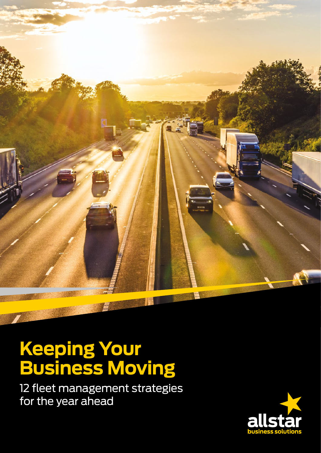

# **Keeping Your Business Moving**

12 fleet management strategies for the year ahead

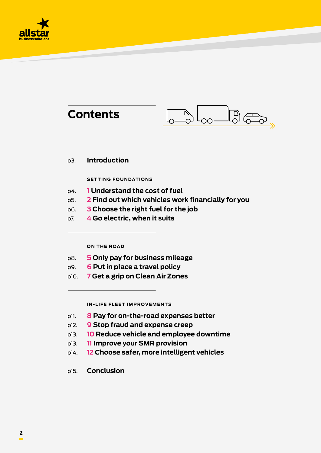

| <b>Contents</b>                                                                                                                                                                                      |                                                                             |  |
|------------------------------------------------------------------------------------------------------------------------------------------------------------------------------------------------------|-----------------------------------------------------------------------------|--|
| p3.                                                                                                                                                                                                  | <b>Introduction</b>                                                         |  |
|                                                                                                                                                                                                      | <b>SETTING FOUNDATIONS</b>                                                  |  |
| <b>1 Understand the cost of fuel</b><br>p4.<br>2 Find out which vehicles work financially for you<br>p5.<br><b>3 Choose the right fuel for the job</b><br>p6.<br>4 Go electric, when it suits<br>p7. |                                                                             |  |
|                                                                                                                                                                                                      | <b>ON THE ROAD</b>                                                          |  |
| p8.                                                                                                                                                                                                  | 5 Only pay for business mileage                                             |  |
| p9.<br>p10.                                                                                                                                                                                          | 6 Put in place a travel policy<br>7 Get a grip on Clean Air Zones           |  |
|                                                                                                                                                                                                      | <b>IN-LIFE FLEET IMPROVEMENTS</b>                                           |  |
| p11.                                                                                                                                                                                                 | 8 Pay for on-the-road expenses better                                       |  |
| p12.                                                                                                                                                                                                 | <b>9 Stop fraud and expense creep</b>                                       |  |
| p13.                                                                                                                                                                                                 | 10 Reduce vehicle and employee downtime                                     |  |
| p13.                                                                                                                                                                                                 | 11 Improve your SMR provision<br>12 Choose safer, more intelligent vehicles |  |
| p14.                                                                                                                                                                                                 |                                                                             |  |

p15. **Conclusion**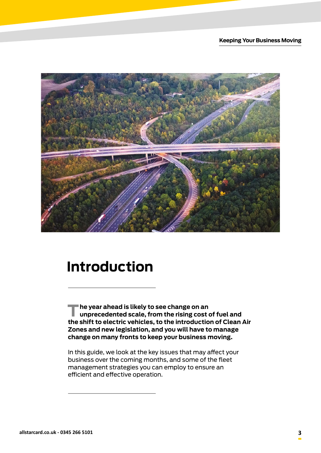

### **Introduction**

**The year ahead is likely to see change on an unprecedented scale, from the rising cost of fuel and the shift to electric vehicles, to the introduction of Clean Air Zones and new legislation, and you will have to manage change on many fronts to keep your business moving.**

In this guide, we look at the key issues that may affect your business over the coming months, and some of the fleet management strategies you can employ to ensure an efficient and effective operation.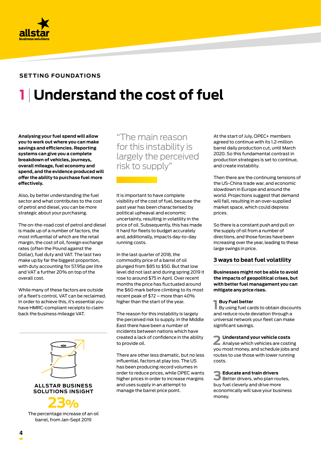

## **1 Understand the cost of fuel**

**Analysing your fuel spend will allow you to work out where you can make savings and efficiencies. Reporting systems can give you a complete breakdown of vehicles, journeys, overall mileage, fuel economy and spend, and the evidence produced will offer the ability to purchase fuel more effectively.**

Also, by better understanding the fuel sector and what contributes to the cost of petrol and diesel, you can be more strategic about your purchasing.

The on-the-road cost of petrol and diesel is made up of a number of factors, the most influential of which are the retail margin, the cost of oil, foreign exchange rates (often the Pound against the Dollar), fuel duty and VAT. The last two make up by far the biggest proportion, with duty accounting for 57.95p per litre and VAT a further 20% on top of the overall cost.

While many of these factors are outside of a fleet's control, VAT can be reclaimed. In order to achieve this, it's essential you have HMRC-compliant receipts to claim back the business mileage VAT.



barrel, from Jan-Sept 2019

"The main reason for this instability is largely the perceived risk to supply"

It is important to have complete visibility of the cost of fuel, because the past year has been characterised by political upheaval and economic uncertainty, resulting in volatility in the price of oil. Subsequently, this has made it hard for fleets to budget accurately and, additionally, impacts day-to-day running costs.

In the last quarter of 2018, the commodity price of a barrel of oil plunged from \$85 to \$50. But that low level did not last and during spring 2019 it rose to around \$75 in April. Over recent months the price has fluctuated around the \$60 mark before climbing to its most recent peak of \$72 – more than 40% higher than the start of the year.

The reason for this instability is largely the perceived risk to supply. In the Middle East there have been a number of incidents between nations which have created a lack of confidence in the ability to provide oil.

There are other less dramatic, but no less influential, factors at play too. The US has been producing record volumes in order to reduce prices, while OPEC wants higher prices in order to increase margins and uses supply in an attempt to manage the barrel price point.

At the start of July, OPEC+ members agreed to continue with its 1.2-million barrel daily production cut, until March 2020. So this fundamental contrast in production strategies is set to continue, and create instability.

Then there are the continuing tensions of the US-China trade war, and economic slowdown in Europe and around the world. Projections suggest that demand will fall, resulting in an over-supplied market space, which could depress prices.

So there is a constant push and pull on the supply of oil from a number of directions, and those forces have been increasing over the year, leading to these large swings in price.

#### **3 ways to beat fuel volatility**

**Businesses might not be able to avoid the impacts of geopolitical crises, but with better fuel management you can mitigate any price rises.**

#### **Buy Fuel better**

**1 Buy Fuel better**<br>By using fuel cards to obtain discounts and reduce route deviation through a universal network your fleet can make significant savings.

**2 Understand your vehicle costs** Analyse which vehicles are costing you most money, and schedule jobs and routes to use those with lower running costs.

**3 Educate and train drivers** Better drivers, who plan routes, buy fuel cleverly and drive more economically will save your business money.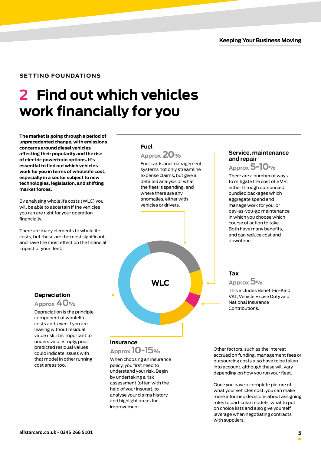### **2 Find out which vehicles work financially for you**

**The market is going through a period of unprecedented change, with emissions concerns around diesel vehicles affecting their popularity and the rise of electric powertrain options. It's essential to find out which vehicles work for you in terms of wholelife cost, especially in a sector subject to new technologies, legislation, and shifting market forces.** 

By analysing wholelife costs (WLC) you will be able to ascertain if the vehicles you run are right for your operation financially.

There are many elements to wholelife costs, but these are the most significant, and have the most effect on the financial impact of your fleet:

#### **Fuel**



Fuel cards and management systems not only streamline expense claims, but give a detailed analysis of what the fleet is spending, and where there are any anomalies, either with vehicles or drivers.



### **Depreciation**

**Approx 40%**

Depreciation is the principle component of wholelife costs and, even if you are leasing without residual value risk, it is important to understand. Simply, poor predicted residual values could indicate issues with that model in other running cost areas too.

#### **Insurance**

**Approx 10-15%** 

When choosing an insurance policy, you first need to understand your risk. Begin by undertaking a risk assessment (often with the help of your insurer), to analyse your claims history and highlight areas for improvement.

#### **Service, maintenance and repair**

**Approx 5-10%**

There are a number of ways to mitigate the cost of SMR, either through outsourced bundled packages which aggregate spend and manage work for you, or pay-as-you-go maintenance in which you choose which course of action to take. Both have many benefits, and can reduce cost and downtime.

#### **Tax**

**Approx 5%**

This includes Benefit-in-Kind, VAT, Vehicle Excise Duty and National Insurance Contributions.

Other factors, such as the interest accrued on funding, management fees or outsourcing costs also have to be taken into account, although these will vary depending on how you run your fleet.

Once you have a complete picture of what your vehicles cost, you can make more informed decisions about assigning roles to particular models, what to put on choice lists and also give yourself leverage when negotiating contracts with suppliers.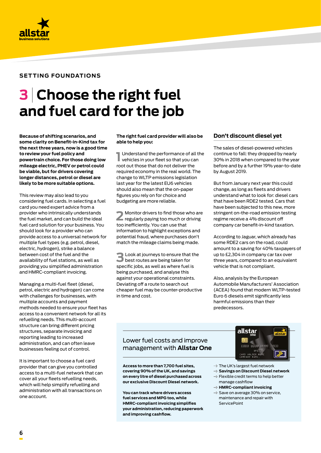

## **3 Choose the right fuel and fuel card for the job**

**Because of shifting scenarios, and some clarity on Benefit-in-Kind tax for the next three years, now is a good time to review your fuel policy and powertrain choice. For those doing low mileage electric, PHEV or petrol could be viable, but for drivers covering longer distances, petrol or diesel are likely to be more suitable options.** 

This review may also lead to you considering fuel cards. In selecting a fuel card you need expert advice from a provider who intrinsically understands the fuel market, and can build the ideal fuel card solution for your business. You should look for a provider who can provide access to a universal network for multiple fuel types (e.g. petrol, diesel, electric, hydrogen), strike a balance between cost of the fuel and the availability of fuel stations, as well as providing you simplified administration and HMRC-compliant invoicing.

Managing a multi-fuel fleet (diesel, petrol, electric and hydrogen) can come with challenges for businesses, with multiple accounts and payment methods needed to ensure your fleet has access to a convenient network for all its refuelling needs. This multi-account structure can bring different pricing structures, separate invoicing and reporting leading to increased administration, and can often leave businesses feeling out of control.

It is important to choose a fuel card provider that can give you controlled access to a multi-fuel network that can cover all your fleets refuelling needs, which will help simplify refuelling and administration with all transactions on one account.

#### **The right fuel card provider will also be able to help you:**

**1** Understand the performance of all the vehicles in your fleet so that you can Understand the performance of all the root out those that do not deliver the required economy in the real world. The change to WLTP emissions legislation last year for the latest EU6 vehicles should also mean that the on-paper figures you rely on for choice and budgeting are more reliable.

**2** Monitor drivers to find those who are regularly paying too much or driving too inefficiently. You can use that information to highlight exceptions and potential fraud, where purchases don't match the mileage claims being made.

**3**Look at journeys to ensure that the best routes are being taken for specific jobs, as well as where fuel is being purchased, and analyse this against your operational constraints. Deviating off a route to search out cheaper fuel may be counter-productive in time and cost.

#### **Don't discount diesel yet**

The sales of diesel-powered vehicles continue to fall: they dropped by nearly 30% in 2018 when compared to the year before and by a further 19% year-to-date by August 2019.

But from January next year this could change, as long as fleets and drivers understand what to look for: diesel cars that have been RDE2 tested. Cars that have been subjected to this new, more stringent on-the-road emission testing regime receive a 4% discount off company car benefit-in-kind taxation.

According to Jaguar, which already has some RDE2 cars on the road, could amount to a saving for 40% taxpayers of up to £2,304 in company car tax over three years, compared to an equivalent vehicle that is not compliant.

Also, analysis by the European Automobile Manufacturers' Association (ACEA) found that modern WLTP-tested Euro 6 diesels emit significantly less harmful emissions than their predecessors.

### Lower fuel costs and improve management with **Allstar One**

**Access to more than 7,700 fuel sites, covering 90% of the UK, and savings on every litre of diesel purchased across our exclusive Discount Diesel network.**

**You can track where drivers access fuel services and MPG too, while HMRC-compliant invoicing simplifies your administration, reducing paperwork and improving cashflow.**



- $\rightarrow$  The UK's largest fuel network
- $\rightarrow$  Savings on Discount Diesel network
- $\rightarrow$  Flexible credit terms to help better
- manage cashflow
- **HMRC-compliant invoicing**
- $\rightarrow$  Save on average 30% on service, [maintenance and repair](https://www.allstarcard.co.uk/services/servicepoint/) with **ServicePoint**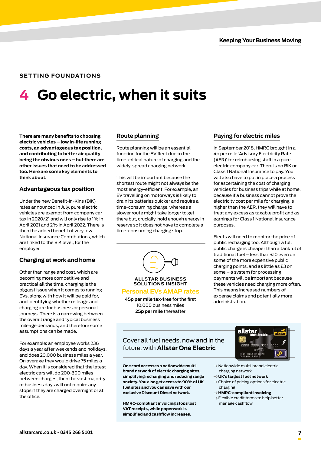## **4 Go electric, when it suits**

**There are many benefits to choosing electric vehicles – low in-life running costs, an advantageous tax position, and contributing to better air quality being the obvious ones – but there are other issues that need to be addressed too. Here are some key elements to think about.**

#### **Advantageous tax position**

Under the new Benefit-in-Kins (BiK) rates announced in July, pure electric vehicles are exempt from company car tax in 2020/21 and will only rise to 1% in April 2021 and 2% in April 2022. There is then the added benefit of very low National Insurance Contributions, which are linked to the BiK level, for the employer.

#### **Charging at work and home**

Other than range and cost, which are becoming more competitive and practical all the time, charging is the biggest issue when it comes to running EVs, along with how it will be paid for, and identifying whether mileage and charging are for business or personal journeys. There is a narrowing between the overall range and typical business mileage demands, and therefore some assumptions can be made.

For example: an employee works 236 days a year after weekends and holidays, and does 20,000 business miles a year. On average they would drive 75 miles a day. When it is considered that the latest electric cars will do 200-300 miles between charges, then the vast majority of business days will not require any stops if they are charged overnight or at the office.

#### **Route planning**

Route planning will be an essential function for the EV fleet due to the time-critical nature of charging and the widely-spread charging network.

This will be important because the shortest route might not always be the most energy-efficient. For example, an EV travelling on motorways is likely to drain its batteries quicker and require a time-consuming charge, whereas a slower route might take longer to get there but, crucially, hold enough energy in reserve so it does not have to complete a time-consuming charging stop.



**ALLSTAR BUSINESS SOLUTIONS INSIGHT**

#### **Personal EVs AMAP rates**

**45p per mile tax-free** for the first 10,000 business miles **25p per mile** thereafter

#### **Paying for electric miles**

In September 2018, HMRC brought in a 4p per mile 'Advisory Electricity Rate (AER)' for reimbursing staff in a pure electric company car. There is no BiK or Class 1 National Insurance to pay. You will also have to put in place a process for ascertaining the cost of charging vehicles for business trips while at home, because if a business cannot prove the electricity cost per mile for charging is higher than the AER, they will have to treat any excess as taxable profit and as earnings for Class 1 National Insurance purposes.

Fleets will need to monitor the price of public recharging too. Although a full public charge is cheaper than a tankful of traditional fuel – less than £10 even on some of the more expensive public charging points, and as little as £3 on some – a system for processing payments will be important because these vehicles need charging more often. This means increased numbers of expense claims and potentially more administration.

#### Cover all fuel needs, now and in the future, with **Allstar One Electric**

**One card accesses a nationwide multibrand network of electric charging sites, simplifying recharging and reducing range anxiety. You also get access to 90% of UK fuel sites and you can save with our exclusive Discount Diesel network.** 

**HMRC-compliant invoicing stops lost VAT receipts, while paperwork is simplified and cashflow increases.**



- $\rightarrow$  Nationwide multi-brand electric charging network
- **UK's largest fuel network**
- $\rightarrow$  Choice of pricing options for electric charging
- **HMRC-compliant invoicing**
- $\rightarrow$  Flexible credit terms to help better manage cashflow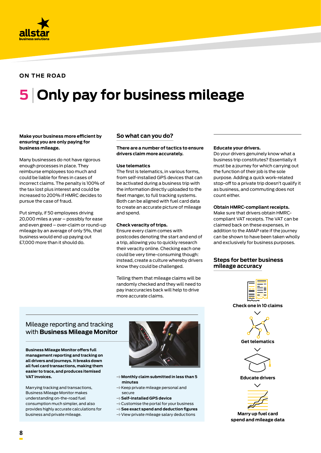

#### **ON THE ROAD**

# **5 Only pay for business mileage**

#### **Make your business more efficient by ensuring you are only paying for business mileage.**

Many businesses do not have rigorous enough processes in place. They reimburse employees too much and could be liable for fines in cases of incorrect claims. The penalty is 100% of the tax lost plus interest and could be increased to 200% if HMRC decides to pursue the case of fraud.

Put simply, if 50 employees driving 20,000 miles a year – possibly for ease and even greed – over-claim or round-up mileage by an average of only 5%, that business would end up paying out £7,000 more than it should do.

#### **So what can you do?**

#### **There are a number of tactics to ensure drivers claim more accurately.**

#### **Use telematics**

The first is telematics, in various forms, from self-installed GPS devices that can be activated during a business trip with the information directly uploaded to the fleet manger, to full tracking systems. Both can be aligned with fuel card data to create an accurate picture of mileage and spend.

#### **Check veracity of trips.**

Ensure every claim comes with postcodes denoting the start and end of a trip, allowing you to quickly research their veracity online. Checking each one could be very time-consuming though: instead, create a culture whereby drivers know they could be challenged.

Telling them that mileage claims will be randomly checked and they will need to pay inaccuracies back will help to drive more accurate claims.

#### **Educate your drivers.**

Do your drivers genuinely know what a business trip constitutes? Essentially it must be a journey for which carrying out the function of their job is the sole purpose. Adding a quick work-related stop-off to a private trip doesn't qualify it as business, and commuting does not count either.

#### **Obtain HMRC-compliant receipts.**

Make sure that drivers obtain HMRCcompliant VAT receipts. The VAT can be claimed back on these expenses, in addition to the AMAP rate if the journey can be shown to have been taken wholly and exclusivel[y](https://www.gov.uk/hmrc-internal-manuals/business-income-manual/bim37007) for business purposes.

#### **Steps for better business mileage accuracy**

### Mileage reporting and tracking with **Business Mileage Monitor**

**Business Mileage Monitor offers full management reporting and tracking on all drivers and journeys. It breaks down all [fuel card](https://www.allstarcard.co.uk/choose-a-card/) transactions, making them easier to trace, and produces itemised VAT invoices.** 

Marrying tracking and transactions, Business Mileage Monitor makes understanding on-the-road fuel consumption much simpler, and also provides highly accurate calculations for business and private mileage.



- **Monthly claim submitted in less than 5 minutes**
- $\rightarrow$  Keep private mileage personal and secure
- $\rightarrow$  Self-installed GPS device
- $\rightarrow$  Customise the portal for your business
- **See exact spend and deduction figures**
- $\rightarrow$  View private mileage salary deductions

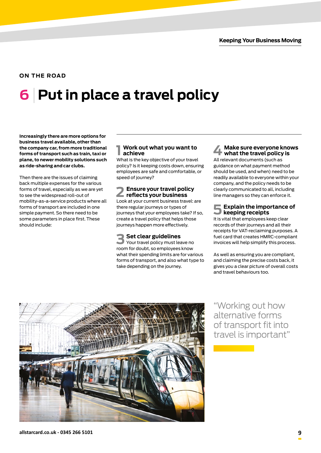#### **ON THE ROAD**

# **6 Put in place a travel policy**

**Increasingly there are more options for business travel available, other than the company car, from more traditional forms of transport such as train, taxi or plane, to newer mobility solutions such as ride-sharing and car clubs.**

Then there are the issues of claiming back multiple expenses for the various forms of travel, especially as we are yet to see the widespread roll-out of mobility-as-a-service products where all forms of transport are included in one simple payment. So there need to be some parameters in place first. These should include:

#### **1 Work out what you want to achieve**

What is the key objective of your travel policy? Is it keeping costs down, ensuring employees are safe and comfortable, or speed of journey?

### **2 Ensure your travel policy reflects your business**

Look at your current business travel: are there regular journeys or types of journeys that your employees take? If so, create a travel policy that helps those journeys happen more effectively.

**3 Set clear guidelines** Your travel policy must leave no room for doubt, so employees know what their spending limits are for various forms of transport, and also what type to take depending on the journey.

#### **4 Make sure everyone knows what the travel policy is**

All relevant documents (such as guidance on what payment method should be used, and when) need to be readily available to everyone within your company, and the policy needs to be clearly communicated to all, including line managers so they can enforce it.

#### **5 Explain the importance of keeping receipts**

It is vital that employees keep clear records of their journeys and all their receipts for VAT-reclaiming purposes. A fuel card that creates HMRC-compliant invoices will help simplify this process.

As well as ensuring you are compliant, and claiming the precise costs back, it gives you a clear picture of overall costs and travel behaviours too.



"Working out how alternative forms of transport fit into travel is important"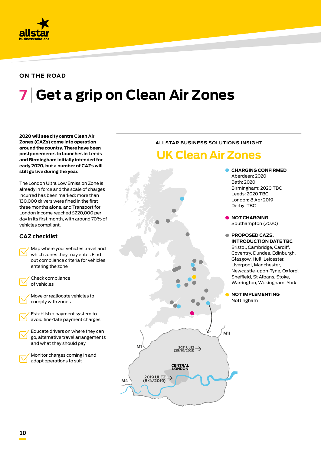

#### **ON THE ROAD**

# **7 Get a grip on Clean Air Zones**

**2020 will see city centre Clean Air Zones (CAZs) come into operation around the country. There have been postponements to launches in Leeds and Birmingham initially intended for early 2020, but a number of CAZs will still go live during the year.**

The London Ultra Low Emission Zone is already in force and the scale of charges incurred has been marked: more than 130,000 drivers were fined in the first three months alone, and Transport for London income reached £220,000 per vehicles compliant.



### **ALLSTAR BUSINESS SOLUTIONS INSIGHT**

### **UK Clean Air Zones**

**CHARGING CONFIRMED** Aberdeen: 2020 Bath: 2020 Birmingham: 2020 TBC Leeds: 2020 TBC London: 8 Apr 2019 Derby: TBC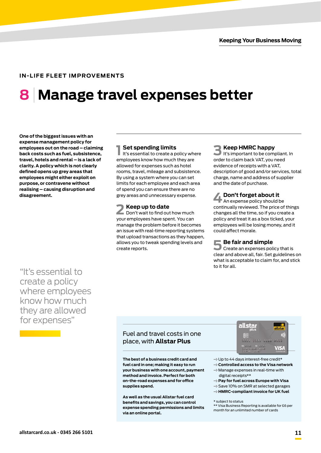## **8 Manage travel expenses better**

**One of the biggest issues with an expense management policy for employees out on the road – claiming back costs such as fuel, subsistence, travel, hotels and rental – is a lack of clarity. A policy which is not clearly defined opens up grey areas that employees might either exploit on purpose, or contravene without realising – causing disruption and disagreement.**

### "It's essential to create a policy where employees know how much they are allowed for expenses"

**1 Set spending limits**<br>It's essential to create a policy where employees know how much they are allowed for expenses such as hotel rooms, travel, mileage and subsistence. By using a system where you can set limits for each employee and each area of spend you can ensure there are no grey areas and unnecessary expense.

**2 Keep up to date** Don't wait to find out how much your employees have spent. You can manage the problem before it becomes an issue with real-time reporting systems that upload transactions as they happen, allows you to tweak spending levels and create reports.

#### **3 Keep HMRC happy**

It's important to be compliant. In order to claim back VAT, you need evidence of receipts with a VAT, description of good and/or services, total charge, name and address of supplier and the date of purchase.

**4Don't forget about it** An expense policy should be continually reviewed. The price of things changes all the time, so if you create a policy and treat it as a box ticked, your employees will be losing money, and it could affect morale.

**5 Be fair and simple** Create an expenses policy that is clear and above all, fair. Set guidelines on what is acceptable to claim for, and stick to it for all.

#### Fuel and travel costs in one place, with **Allstar Plus**

**The best of a business credit card and fuel card in one; making it easy to run your business with one account, payment method and invoice. Perfect for both on-the-road expenses and for office supplies spend.**

**As well as the usual Allstar fuel card benefits and savings, you can control expense spending permissions and limits via an online portal.**



- $\rightarrow$  Up to 44 days interest-free credit\*
- **Controlled access to the Visa network**  $\rightarrow$  Manage expenses in real-time with digital receipts\*\*
- **Pay for fuel across Europe with Visa**
- $\rightarrow$  Save 10% on SMR at selected garages
- **HMRC-compliant invoice for UK fuel**

\* subject to status

\*\* Visa Business Reporting is available for £6 per month for an unlimited number of cards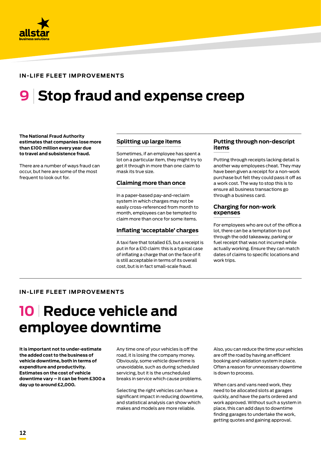

## **9 Stop fraud and expense creep**

**The National Fraud Authority estimates that companies lose more than £100 million every year due to travel and subsistence fraud.** 

There are a number of ways fraud can occur, but here are some of the most frequent to look out for.

#### **Splitting up large items**

Sometimes, if an employee has spent a lot on a particular item, they might try to get it through in more than one claim to mask its true size.

#### **Claiming more than once**

In a paper-based pay-and-reclaim system in which charges may not be easily cross-referenced from month to month, employees can be tempted to claim more than once for some items.

#### **Inflating 'acceptable' charges**

A taxi fare that totalled £5, but a receipt is put in for a £10 claim: this is a typical case of inflating a charge that on the face of it is still acceptable in terms of its overall cost, but is in fact small-scale fraud.

#### **Putting through non-descript items**

Putting through receipts lacking detail is another way employees cheat. They may have been given a receipt for a non-work purchase but felt they could pass it off as a work cost. The way to stop this is to ensure all business transactions go through a business card.

#### **Charging for non-work expenses**

For employees who are out of the office a lot, there can be a temptation to put through the odd takeaway, parking or fuel receipt that was not incurred while actually working. Ensure they can match dates of claims to specific locations and work trips.

#### **IN-LIFE FLEET IMPROVEMENTS**

### **10 Reduce vehicle and employee downtime**

**It is important not to under-estimate the added cost to the business of vehicle downtime, both in terms of expenditure and productivity. Estimates on the cost of vehicle downtime vary – it can be from £300 a day up to around £2,000.**

Any time one of your vehicles is off the road, it is losing the company money. Obviously, some vehicle downtime is unavoidable, such as during scheduled servicing, but it is the unscheduled breaks in service which cause problems.

Selecting the right vehicles can have a significant impact in reducing downtime, and statistical analysis can show which makes and models are more reliable.

Also, you can reduce the time your vehicles are off the road by having an efficient booking and validation system in place. Often a reason for unnecessary downtime is down to process.

When cars and vans need work, they need to be allocated slots at garages quickly, and have the parts ordered and work approved. Without such a system in place, this can add days to downtime finding garages to undertake the work, getting quotes and gaining approval.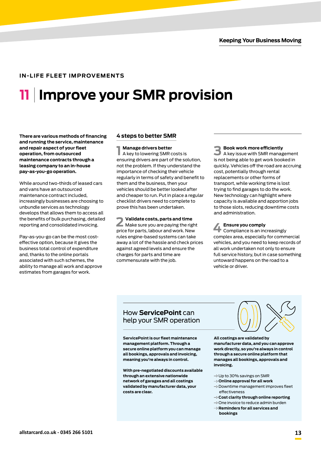## **11 Improve your SMR provision**

**There are various methods of financing and running the service, maintenance and repair aspect of your fleet operation, from outsourced maintenance contracts through a leasing company to an in-house pay-as-you-go operation.** 

While around two-thirds of leased cars and vans have an outsourced maintenance contract included, increasingly businesses are choosing to unbundle services as technology develops that allows them to access all the benefits of bulk purchasing, detailed reporting and consolidated invoicing.

Pay-as-you-go can be the most costeffective option, because it gives the business total control of expenditure and, thanks to the online portals associated with such schemes, the ability to manage all work and approve estimates from garages for work.

#### **4 steps to better SMR**

**1 Manage drivers better** A key to lowering SMR costs is ensuring drivers are part of the solution, not the problem. If they understand the importance of checking their vehicle regularly in terms of safety and benefit to them and the business, then your vehicles should be better looked after and cheaper to run. Put in place a regular checklist drivers need to complete to prove this has been undertaken.

**2 Validate costs, parts and time** Make sure you are paying the right price for parts, labour and work. New rules engine-based systems can take away a lot of the hassle and check prices against agreed levels and ensure the charges for parts and time are commensurate with the job.

**3 Book work more efficiently**<br> **A** key issue with SMR management is not being able to get work booked in quickly. Vehicles off the road are accruing cost, potentially through rental replacements or other forms of transport, while working time is lost trying to find garages to do the work. New technology can highlight where capacity is available and apportion jobs to those slots, reducing downtime costs and administration.

**4 Ensure you comply<br>
<b>4** Compliance is an increasingly complex area, especially for commercial vehicles, and you need to keep records of all work undertaken not only to ensure full service history, but in case something untoward happens on the road to a vehicle or driver.

#### How **ServicePoint** can help your SMR operation

**ServicePoint is our fleet maintenance management platform. Through a secure online platform you can manage all bookings, approvals and invoicing, meaning you're always in control.**

**With pre-negotiated discounts available through an extensive nationwide network of garages and all costings validated by manufacturer data, your costs are clear.**

**All costings are validated by manufacturer data, and you can approve work directly, so you're always in control through a secure online platform that manages all bookings, approvals and invoicing.**

- $\rightarrow$  Up to 30% savings on SMR
- **Online approval for all work**
- $\rightarrow$  Downtime management improves fleet effectiveness
- **Cost clarity through online reporting**
- $\rightarrow$  One invoice to reduce admin burden **Reminders for all services and bookings**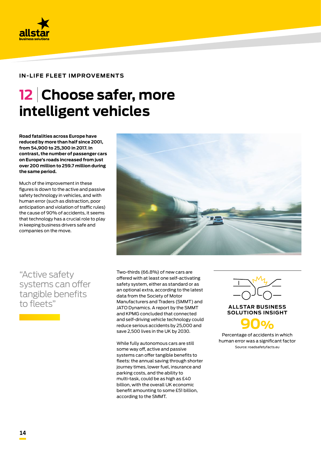

## **12 Choose safer, more intelligent vehicles**

**Road fatalities across Europe have reduced by more than half since 2001, from 54,900 to 25,300 in 2017. In contrast, the number of passenger cars on Europe's roads increased from just over 200 million to 259.7 million during the same period.**

Much of the improvement in these figures is down to the active and passive safety technology in vehicles, and with human error (such as distraction, poor anticipation and violation of traffic rules) the cause of 90% of accidents, it seems that technology has a crucial role to play in keeping business drivers safe and companies on the move.

"Active safety systems can offer tangible benefits to fleets"



Two-thirds (66.8%) of new cars are offered with at least one self-activating safety system, either as standard or as an optional extra, [according to the latest](https://www.fleetnews.co.uk/news/manufacturer-news/2018/01/22/road-accidents-fall-as-more-new-cars-fitted-with-collision-warning-systems)  [data from the Society of Motor](https://www.fleetnews.co.uk/news/manufacturer-news/2018/01/22/road-accidents-fall-as-more-new-cars-fitted-with-collision-warning-systems)  [Manufacturers and Traders \(SMMT\) and](https://www.fleetnews.co.uk/news/manufacturer-news/2018/01/22/road-accidents-fall-as-more-new-cars-fitted-with-collision-warning-systems)  [JATO Dynamics](https://www.fleetnews.co.uk/news/manufacturer-news/2018/01/22/road-accidents-fall-as-more-new-cars-fitted-with-collision-warning-systems). A report by the SMMT and KPMG concluded that connected and self-driving vehicle technology could reduce serious accidents by 25,000 and save 2,500 lives in the UK by 2030.

While fully autonomous cars are still some way off, active and passive systems can offer tangible benefits to fleets: the annual saving through shorter journey times, lower fuel, insurance and parking costs, and the ability to multi-task, could be as high as £40 billion, with the overall UK economic benefit amounting to some £51 billion, according to the SMMT.



**SOLUTIONS INSIGHT**

**90%** Percentage of accidents in which human error was a significant factor Source: roadsafetyfacts.eu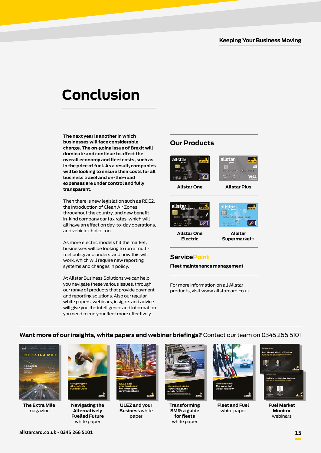### **Conclusion**

**The next year is another in which businesses will face considerable change. The on-going issue of Brexit will dominate and continue to affect the overall economy and fleet costs, such as in the price of fuel. As a result, companies will be looking to ensure their costs for all business travel and on-the-road expenses are under control and fully transparent.**

Then there is new legislation such as RDE2, the introduction of Clean Air Zones throughout the country, and new benefitin-kind company car tax rates, which will all have an effect on day-to-day operations, and vehicle choice too.

As more electric models hit the market, businesses will be looking to run a multifuel policy and understand how this will work, which will require new reporting systems and changes in policy.

At Allstar Business Solutions we can help you navigate these various issues, through our range of products that provide payment and reporting solutions. Also our regular white papers, webinars, insights and advice will give you the intelligence and information you need to run your fleet more effectively.

### **Our Products**





**Allstar One**

**Allstar Plus**





**Allstar One Electric**

#### **Allstar Supermarket+**

### **ServicePoint**

**Fleet maintenance management**

For more information on all Allstar products, visit www.allstarcard.co.uk

### **Want more of our insights, white papers and webinar briefings?** Contact our team on 0345 266 5101



**The Extra Mile** magazine



**Navigating the Alternatively Fuelled Future**  white paper



**ULEZ and your Business** white paper



**Transforming SMR: a guide for fleets** white paper



**Fleet and Fuel**  white paper



**Fuel Market Monitor**  webinars